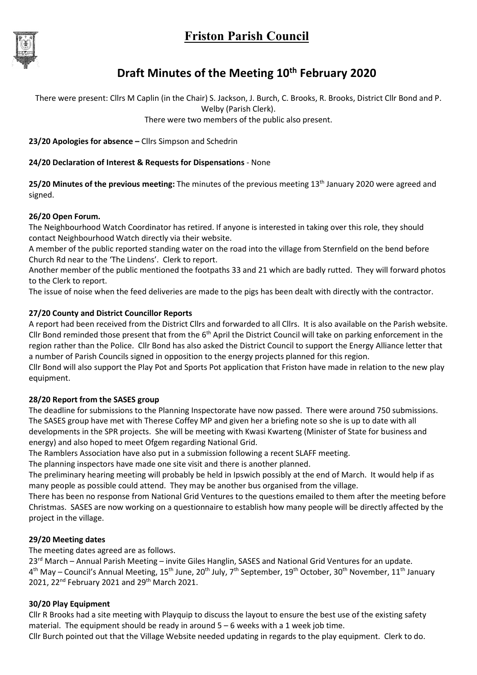# Friston Parish Council



# Draft Minutes of the Meeting 10<sup>th</sup> February 2020

There were present: Cllrs M Caplin (in the Chair) S. Jackson, J. Burch, C. Brooks, R. Brooks, District Cllr Bond and P. Welby (Parish Clerk).

There were two members of the public also present.

23/20 Apologies for absence – Cllrs Simpson and Schedrin

#### 24/20 Declaration of Interest & Requests for Dispensations - None

25/20 Minutes of the previous meeting: The minutes of the previous meeting 13<sup>th</sup> January 2020 were agreed and signed.

#### 26/20 Open Forum.

The Neighbourhood Watch Coordinator has retired. If anyone is interested in taking over this role, they should contact Neighbourhood Watch directly via their website.

A member of the public reported standing water on the road into the village from Sternfield on the bend before Church Rd near to the 'The Lindens'. Clerk to report.

Another member of the public mentioned the footpaths 33 and 21 which are badly rutted. They will forward photos to the Clerk to report.

The issue of noise when the feed deliveries are made to the pigs has been dealt with directly with the contractor.

### 27/20 County and District Councillor Reports

A report had been received from the District Cllrs and forwarded to all Cllrs. It is also available on the Parish website. Cllr Bond reminded those present that from the  $6<sup>th</sup>$  April the District Council will take on parking enforcement in the region rather than the Police. Cllr Bond has also asked the District Council to support the Energy Alliance letter that a number of Parish Councils signed in opposition to the energy projects planned for this region.

Cllr Bond will also support the Play Pot and Sports Pot application that Friston have made in relation to the new play equipment.

### 28/20 Report from the SASES group

The deadline for submissions to the Planning Inspectorate have now passed. There were around 750 submissions. The SASES group have met with Therese Coffey MP and given her a briefing note so she is up to date with all developments in the SPR projects. She will be meeting with Kwasi Kwarteng (Minister of State for business and energy) and also hoped to meet Ofgem regarding National Grid.

The Ramblers Association have also put in a submission following a recent SLAFF meeting.

The planning inspectors have made one site visit and there is another planned.

The preliminary hearing meeting will probably be held in Ipswich possibly at the end of March. It would help if as many people as possible could attend. They may be another bus organised from the village.

There has been no response from National Grid Ventures to the questions emailed to them after the meeting before Christmas. SASES are now working on a questionnaire to establish how many people will be directly affected by the project in the village.

### 29/20 Meeting dates

The meeting dates agreed are as follows.

23<sup>rd</sup> March – Annual Parish Meeting – invite Giles Hanglin, SASES and National Grid Ventures for an update. 4<sup>th</sup> May – Council's Annual Meeting, 15<sup>th</sup> June, 20<sup>th</sup> July, 7<sup>th</sup> September, 19<sup>th</sup> October, 30<sup>th</sup> November, 11<sup>th</sup> January 2021, 22<sup>nd</sup> February 2021 and 29<sup>th</sup> March 2021.

### 30/20 Play Equipment

Cllr R Brooks had a site meeting with Playquip to discuss the layout to ensure the best use of the existing safety material. The equipment should be ready in around  $5 - 6$  weeks with a 1 week job time.

Cllr Burch pointed out that the Village Website needed updating in regards to the play equipment. Clerk to do.